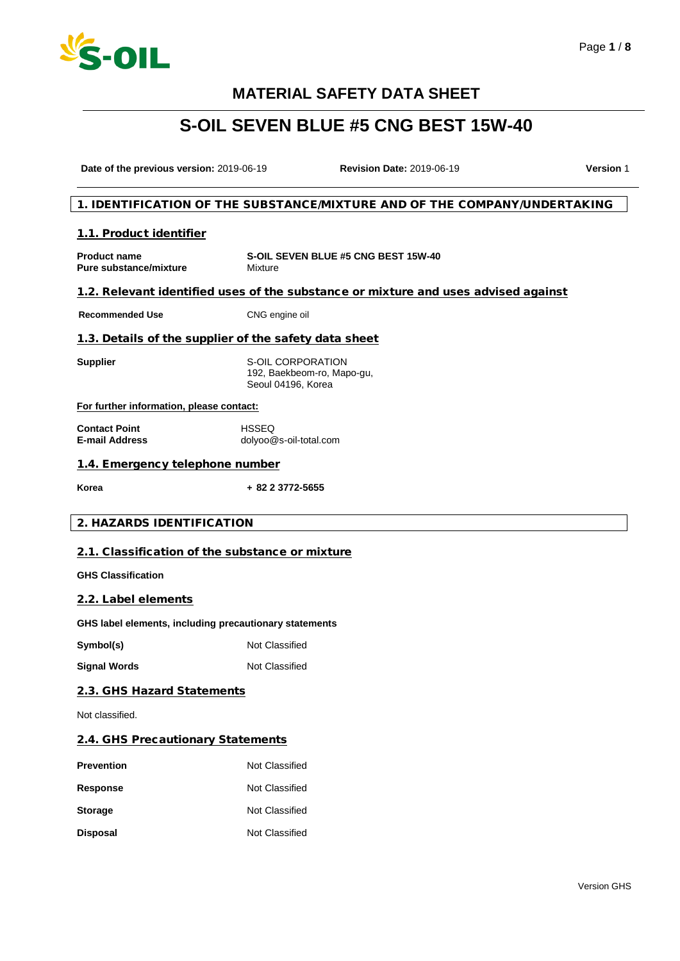

# **S-OIL SEVEN BLUE #5 CNG BEST 15W-40**

**Date of the previous version:** 2019-06-19 **Revision Date:** 2019-06-19 **Version** 1

### 1. IDENTIFICATION OF THE SUBSTANCE/MIXTURE AND OF THE COMPANY/UNDERTAKING

### 1.1. Product identifier

**Product name Pure substance/mixture S-OIL SEVEN BLUE #5 CNG BEST 15W-40** Mixture

### 1.2. Relevant identified uses of the substance or mixture and uses advised against

**Recommended Use** CNG engine oil

### 1.3. Details of the supplier of the safety data sheet

**Supplier** S-OIL CORPORATION 192, Baekbeom-ro, Mapo-gu, Seoul 04196, Korea

#### **For further information, please contact:**

**Contact Point E-mail Address HSSEQ** dolyoo@s-oil-total.com

### 1.4. Emergency telephone number

**Korea + 82 2 3772-5655**

### 2. HAZARDS IDENTIFICATION

### 2.1. Classification of the substance or mixture

**GHS Classification**

#### 2.2. Label elements

**GHS label elements, including precautionary statements**

**Symbol(s)** Not Classified

**Signal Words** Not Classified

### 2.3. GHS Hazard Statements

Not classified.

#### 2.4. GHS Precautionary Statements

| <b>Prevention</b> | Not Classified |
|-------------------|----------------|
| <b>Response</b>   | Not Classified |
| <b>Storage</b>    | Not Classified |
| <b>Disposal</b>   | Not Classified |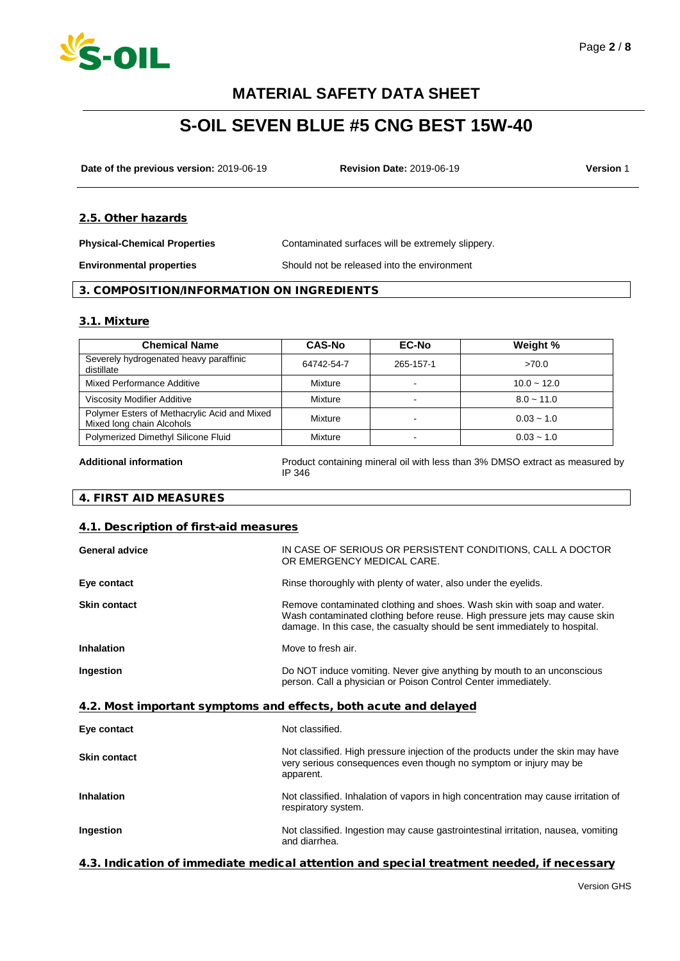

# **S-OIL SEVEN BLUE #5 CNG BEST 15W-40**

**Date of the previous version:** 2019-06-19 **Revision Date:** 2019-06-19 **Version** 1

### 2.5. Other hazards

**Physical-Chemical Properties** Contaminated surfaces will be extremely slippery.

**Environmental properties** Should not be released into the environment

### 3. COMPOSITION/INFORMATION ON INGREDIENTS

### 3.1. Mixture

| <b>Chemical Name</b>                                                      | <b>CAS-No</b> | <b>EC-No</b> | Weight %      |
|---------------------------------------------------------------------------|---------------|--------------|---------------|
| Severely hydrogenated heavy paraffinic<br>distillate                      | 64742-54-7    | 265-157-1    | >70.0         |
| Mixed Performance Additive                                                | Mixture       |              | $10.0 - 12.0$ |
| Viscosity Modifier Additive                                               | Mixture       |              | $8.0 - 11.0$  |
| Polymer Esters of Methacrylic Acid and Mixed<br>Mixed long chain Alcohols | Mixture       |              | $0.03 - 1.0$  |
| Polymerized Dimethyl Silicone Fluid                                       | Mixture       | -            | $0.03 - 1.0$  |

**Additional information** Product containing mineral oil with less than 3% DMSO extract as measured by IP 346

### 4. FIRST AID MEASURES

### 4.1. Description of first-aid measures

| <b>General advice</b>                                            | IN CASE OF SERIOUS OR PERSISTENT CONDITIONS, CALL A DOCTOR<br>OR EMERGENCY MEDICAL CARE.                                                                                                                                           |  |
|------------------------------------------------------------------|------------------------------------------------------------------------------------------------------------------------------------------------------------------------------------------------------------------------------------|--|
| Eye contact                                                      | Rinse thoroughly with plenty of water, also under the eyelids.                                                                                                                                                                     |  |
| <b>Skin contact</b>                                              | Remove contaminated clothing and shoes. Wash skin with soap and water.<br>Wash contaminated clothing before reuse. High pressure jets may cause skin<br>damage. In this case, the casualty should be sent immediately to hospital. |  |
| <b>Inhalation</b>                                                | Move to fresh air.                                                                                                                                                                                                                 |  |
| Ingestion                                                        | Do NOT induce vomiting. Never give anything by mouth to an unconscious<br>person. Call a physician or Poison Control Center immediately.                                                                                           |  |
| 4.2. Most important symptoms and effects, both acute and delayed |                                                                                                                                                                                                                                    |  |
| Eye contact                                                      | Not classified.                                                                                                                                                                                                                    |  |
| <b>Skin contact</b>                                              | Not classified. High pressure injection of the products under the skin may have<br>very serious consequences even though no symptom or injury may be<br>apparent.                                                                  |  |

## **Inhalation Inhalation** Not classified. Inhalation of vapors in high concentration may cause irritation of respiratory system. **Ingestion** Not classified. Ingestion may cause gastrointestinal irritation, nausea, vomiting and diarrhea.

### 4.3. Indication of immediate medical attention and special treatment needed, if necessary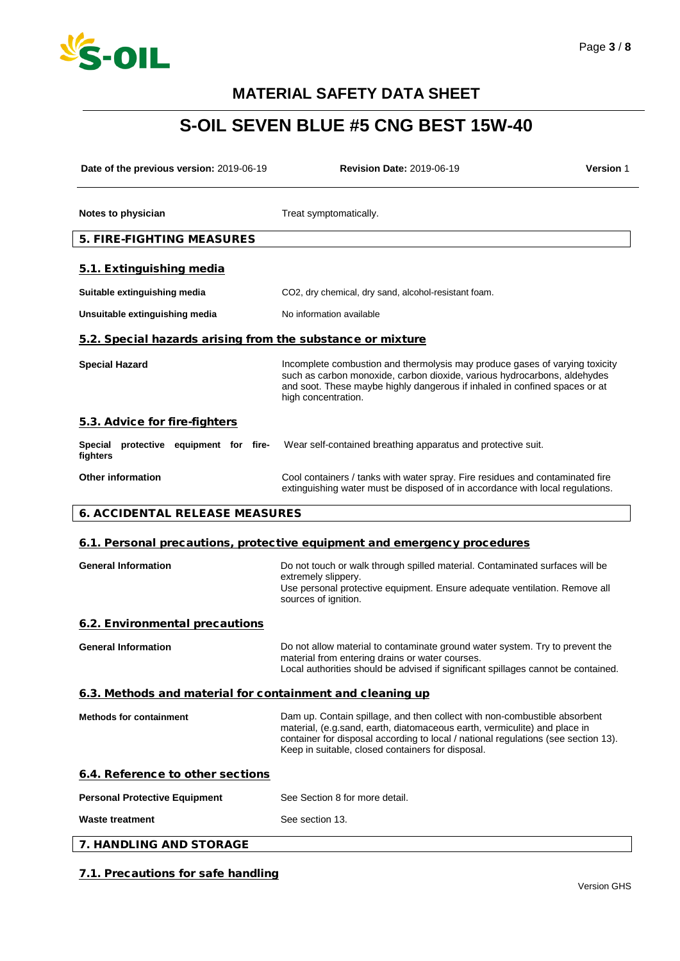

# **S-OIL SEVEN BLUE #5 CNG BEST 15W-40**

| Date of the previous version: 2019-06-19                   | <b>Revision Date: 2019-06-19</b>                                                                                                                                                                                                                                                                  | <b>Version 1</b> |  |
|------------------------------------------------------------|---------------------------------------------------------------------------------------------------------------------------------------------------------------------------------------------------------------------------------------------------------------------------------------------------|------------------|--|
| Notes to physician                                         | Treat symptomatically.                                                                                                                                                                                                                                                                            |                  |  |
| <b>5. FIRE-FIGHTING MEASURES</b>                           |                                                                                                                                                                                                                                                                                                   |                  |  |
| 5.1. Extinguishing media                                   |                                                                                                                                                                                                                                                                                                   |                  |  |
| Suitable extinguishing media                               | CO2, dry chemical, dry sand, alcohol-resistant foam.                                                                                                                                                                                                                                              |                  |  |
| Unsuitable extinguishing media                             | No information available                                                                                                                                                                                                                                                                          |                  |  |
| 5.2. Special hazards arising from the substance or mixture |                                                                                                                                                                                                                                                                                                   |                  |  |
| <b>Special Hazard</b>                                      | Incomplete combustion and thermolysis may produce gases of varying toxicity<br>such as carbon monoxide, carbon dioxide, various hydrocarbons, aldehydes<br>and soot. These maybe highly dangerous if inhaled in confined spaces or at<br>high concentration.                                      |                  |  |
| 5.3. Advice for fire-fighters                              |                                                                                                                                                                                                                                                                                                   |                  |  |
| Special protective equipment for fire-<br>fighters         | Wear self-contained breathing apparatus and protective suit.                                                                                                                                                                                                                                      |                  |  |
| <b>Other information</b>                                   | Cool containers / tanks with water spray. Fire residues and contaminated fire<br>extinguishing water must be disposed of in accordance with local regulations.                                                                                                                                    |                  |  |
| <b>6. ACCIDENTAL RELEASE MEASURES</b>                      |                                                                                                                                                                                                                                                                                                   |                  |  |
|                                                            | 6.1. Personal precautions, protective equipment and emergency procedures                                                                                                                                                                                                                          |                  |  |
| <b>General Information</b>                                 | Do not touch or walk through spilled material. Contaminated surfaces will be<br>extremely slippery.<br>Use personal protective equipment. Ensure adequate ventilation. Remove all<br>sources of ignition.                                                                                         |                  |  |
| 6.2. Environmental precautions                             |                                                                                                                                                                                                                                                                                                   |                  |  |
| <b>General Information</b>                                 | Do not allow material to contaminate ground water system. Try to prevent the<br>material from entering drains or water courses.<br>Local authorities should be advised if significant spillages cannot be contained.                                                                              |                  |  |
| 6.3. Methods and material for containment and cleaning up  |                                                                                                                                                                                                                                                                                                   |                  |  |
| <b>Methods for containment</b>                             | Dam up. Contain spillage, and then collect with non-combustible absorbent<br>material, (e.g.sand, earth, diatomaceous earth, vermiculite) and place in<br>container for disposal according to local / national regulations (see section 13).<br>Keep in suitable, closed containers for disposal. |                  |  |
| 6.4. Reference to other sections                           |                                                                                                                                                                                                                                                                                                   |                  |  |
| <b>Personal Protective Equipment</b>                       | See Section 8 for more detail.                                                                                                                                                                                                                                                                    |                  |  |
| <b>Waste treatment</b>                                     | See section 13.                                                                                                                                                                                                                                                                                   |                  |  |
| 7. HANDLING AND STORAGE                                    |                                                                                                                                                                                                                                                                                                   |                  |  |

### 7.1. Precautions for safe handling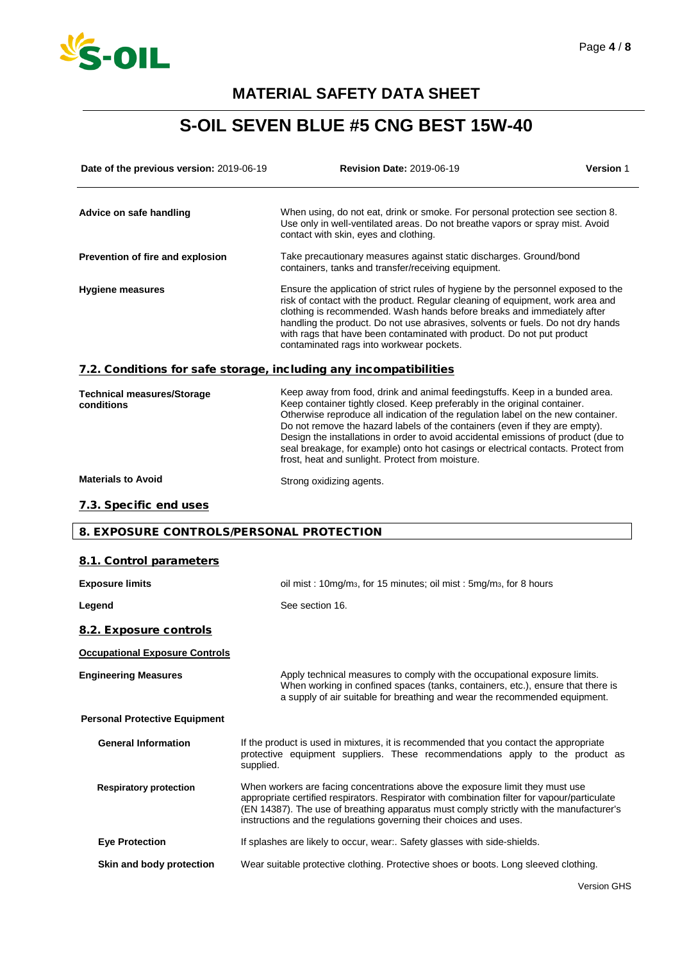

# **S-OIL SEVEN BLUE #5 CNG BEST 15W-40**

| Date of the previous version: 2019-06-19        | <b>Revision Date: 2019-06-19</b>                                                                                                                                                                                                                                                                                                                                                                                                                                                                                                                           | <b>Version 1</b> |
|-------------------------------------------------|------------------------------------------------------------------------------------------------------------------------------------------------------------------------------------------------------------------------------------------------------------------------------------------------------------------------------------------------------------------------------------------------------------------------------------------------------------------------------------------------------------------------------------------------------------|------------------|
| Advice on safe handling                         | When using, do not eat, drink or smoke. For personal protection see section 8.<br>Use only in well-ventilated areas. Do not breathe vapors or spray mist. Avoid<br>contact with skin, eyes and clothing.                                                                                                                                                                                                                                                                                                                                                   |                  |
| Prevention of fire and explosion                | Take precautionary measures against static discharges. Ground/bond<br>containers, tanks and transfer/receiving equipment.                                                                                                                                                                                                                                                                                                                                                                                                                                  |                  |
| <b>Hygiene measures</b>                         | Ensure the application of strict rules of hygiene by the personnel exposed to the<br>risk of contact with the product. Regular cleaning of equipment, work area and<br>clothing is recommended. Wash hands before breaks and immediately after<br>handling the product. Do not use abrasives, solvents or fuels. Do not dry hands<br>with rags that have been contaminated with product. Do not put product<br>contaminated rags into workwear pockets.                                                                                                    |                  |
|                                                 | 7.2. Conditions for safe storage, including any incompatibilities                                                                                                                                                                                                                                                                                                                                                                                                                                                                                          |                  |
| <b>Technical measures/Storage</b><br>conditions | Keep away from food, drink and animal feedingstuffs. Keep in a bunded area.<br>Keep container tightly closed. Keep preferably in the original container.<br>Otherwise reproduce all indication of the regulation label on the new container.<br>Do not remove the hazard labels of the containers (even if they are empty).<br>Design the installations in order to avoid accidental emissions of product (due to<br>seal breakage, for example) onto hot casings or electrical contacts. Protect from<br>frost, heat and sunlight. Protect from moisture. |                  |
| <b>Materials to Avoid</b>                       | Strong oxidizing agents.                                                                                                                                                                                                                                                                                                                                                                                                                                                                                                                                   |                  |
| 7.3. Specific end uses                          |                                                                                                                                                                                                                                                                                                                                                                                                                                                                                                                                                            |                  |
| 8. EXPOSURE CONTROLS/PERSONAL PROTECTION        |                                                                                                                                                                                                                                                                                                                                                                                                                                                                                                                                                            |                  |
|                                                 |                                                                                                                                                                                                                                                                                                                                                                                                                                                                                                                                                            |                  |
| 8.1. Control parameters                         |                                                                                                                                                                                                                                                                                                                                                                                                                                                                                                                                                            |                  |
| <b>Exposure limits</b>                          | oil mist: 10mg/m <sub>3</sub> , for 15 minutes; oil mist: 5mg/m <sub>3</sub> , for 8 hours<br>See section 16.                                                                                                                                                                                                                                                                                                                                                                                                                                              |                  |
| Legend                                          |                                                                                                                                                                                                                                                                                                                                                                                                                                                                                                                                                            |                  |
| 8.2. Exposure controls                          |                                                                                                                                                                                                                                                                                                                                                                                                                                                                                                                                                            |                  |
| <b>Occupational Exposure Controls</b>           |                                                                                                                                                                                                                                                                                                                                                                                                                                                                                                                                                            |                  |
| <b>Engineering Measures</b>                     | Apply technical measures to comply with the occupational exposure limits.<br>When working in confined spaces (tanks, containers, etc.), ensure that there is<br>a supply of air suitable for breathing and wear the recommended equipment.                                                                                                                                                                                                                                                                                                                 |                  |
| <b>Personal Protective Equipment</b>            |                                                                                                                                                                                                                                                                                                                                                                                                                                                                                                                                                            |                  |
| <b>General Information</b>                      | If the product is used in mixtures, it is recommended that you contact the appropriate<br>protective equipment suppliers. These recommendations apply to the product as<br>supplied.                                                                                                                                                                                                                                                                                                                                                                       |                  |
| <b>Respiratory protection</b>                   | When workers are facing concentrations above the exposure limit they must use<br>appropriate certified respirators. Respirator with combination filter for vapour/particulate<br>(EN 14387). The use of breathing apparatus must comply strictly with the manufacturer's<br>instructions and the regulations governing their choices and uses.                                                                                                                                                                                                             |                  |
| <b>Eye Protection</b>                           | If splashes are likely to occur, wear:. Safety glasses with side-shields.                                                                                                                                                                                                                                                                                                                                                                                                                                                                                  |                  |

**Skin and body protection** Wear suitable protective clothing. Protective shoes or boots. Long sleeved clothing.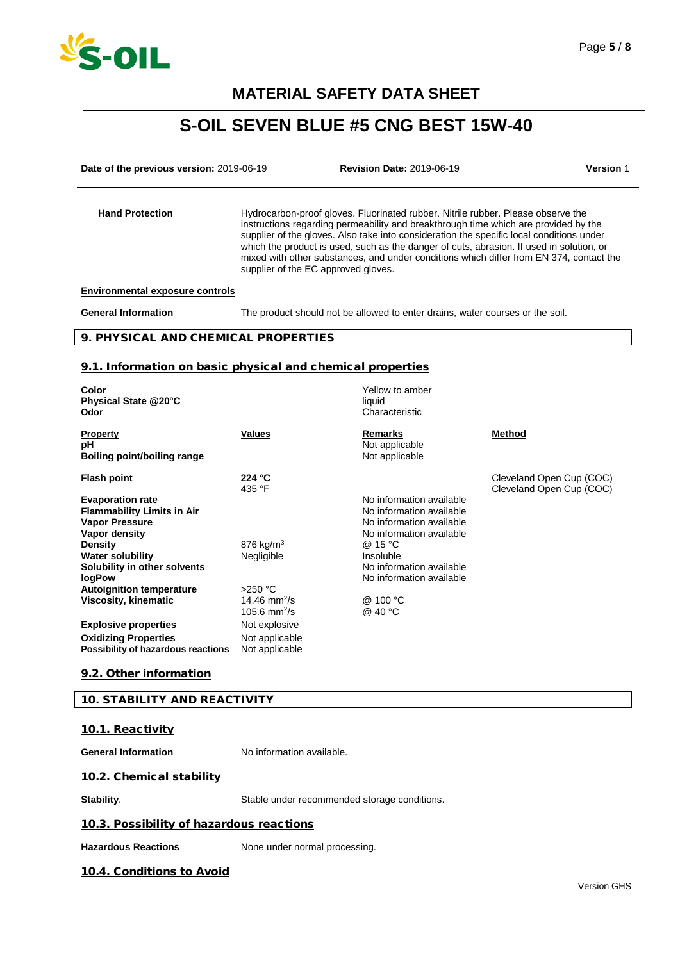

# **S-OIL SEVEN BLUE #5 CNG BEST 15W-40**

**Date of the previous version:** 2019-06-19 **Revision Date:** 2019-06-19 **Version** 1

Hand Protection **Hydrocarbon-proof gloves. Fluorinated rubber. Nitrile rubber. Please observe the** instructions regarding permeability and breakthrough time which are provided by the supplier of the gloves. Also take into consideration the specific local conditions under which the product is used, such as the danger of cuts, abrasion. If used in solution, or mixed with other substances, and under conditions which differ from EN 374, contact the supplier of the EC approved gloves.

**Environmental exposure controls**

**General Information** The product should not be allowed to enter drains, water courses or the soil.

### 9. PHYSICAL AND CHEMICAL PROPERTIES

### 9.1. Information on basic physical and chemical properties

| Color<br>Physical State @20°C<br>Odor                                                                                                                                                                                                   |                                                      | Yellow to amber<br>liquid<br>Characteristic                                                                                                                                                  |                                                      |
|-----------------------------------------------------------------------------------------------------------------------------------------------------------------------------------------------------------------------------------------|------------------------------------------------------|----------------------------------------------------------------------------------------------------------------------------------------------------------------------------------------------|------------------------------------------------------|
| <b>Property</b><br>рH<br>Boiling point/boiling range                                                                                                                                                                                    | <b>Values</b>                                        | <b>Remarks</b><br>Not applicable<br>Not applicable                                                                                                                                           | Method                                               |
| <b>Flash point</b>                                                                                                                                                                                                                      | 224 °C<br>435 °F                                     |                                                                                                                                                                                              | Cleveland Open Cup (COC)<br>Cleveland Open Cup (COC) |
| <b>Evaporation rate</b><br><b>Flammability Limits in Air</b><br><b>Vapor Pressure</b><br>Vapor density<br><b>Density</b><br><b>Water solubility</b><br>Solubility in other solvents<br><b>logPow</b><br><b>Autoignition temperature</b> | 876 kg/m <sup>3</sup><br>Negligible<br>$>250$ °C     | No information available<br>No information available<br>No information available<br>No information available<br>@ 15 °C<br>Insoluble<br>No information available<br>No information available |                                                      |
| Viscosity, kinematic                                                                                                                                                                                                                    | 14.46 mm <sup>2</sup> /s<br>105.6 mm <sup>2</sup> /s | @ 100 °C<br>@ 40 °C                                                                                                                                                                          |                                                      |
| <b>Explosive properties</b>                                                                                                                                                                                                             | Not explosive                                        |                                                                                                                                                                                              |                                                      |
| <b>Oxidizing Properties</b><br>Possibility of hazardous reactions                                                                                                                                                                       | Not applicable<br>Not applicable                     |                                                                                                                                                                                              |                                                      |

### 9.2. Other information

#### 10. STABILITY AND REACTIVITY

### 10.1. Reactivity

**General Information** No information available.

### 10.2. Chemical stability

**Stability.** Stable under recommended storage conditions.

### 10.3. Possibility of hazardous reactions

Hazardous Reactions **None under normal processing.** 

### 10.4. Conditions to Avoid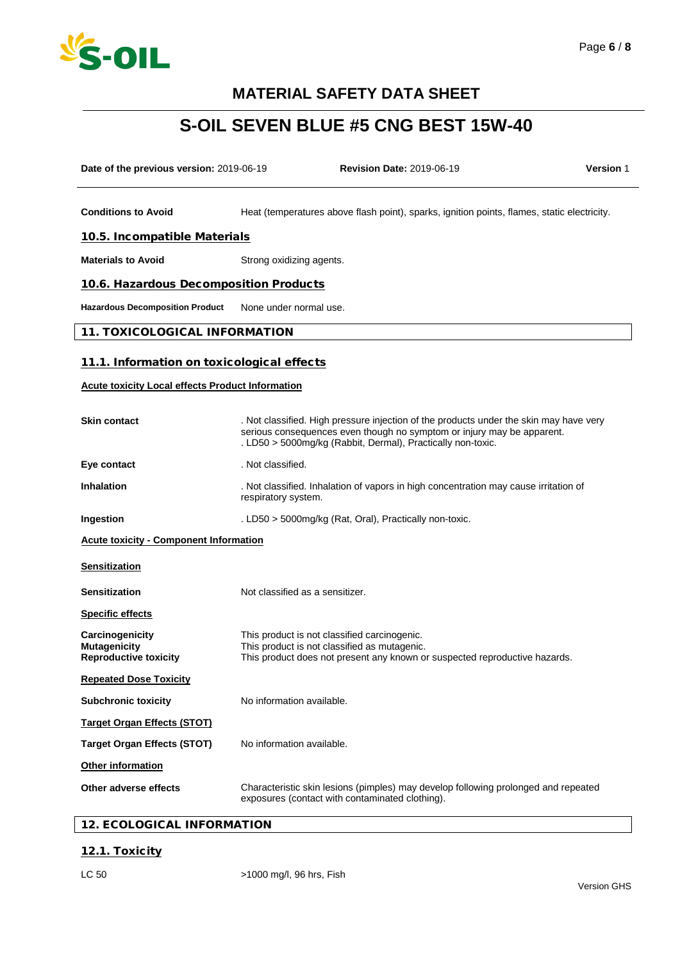

# **S-OIL SEVEN BLUE #5 CNG BEST 15W-40**

| Date of the previous version: 2019-06-19                               |                                 | <b>Revision Date: 2019-06-19</b>                                                                                                                                                                                                | <b>Version 1</b> |
|------------------------------------------------------------------------|---------------------------------|---------------------------------------------------------------------------------------------------------------------------------------------------------------------------------------------------------------------------------|------------------|
|                                                                        |                                 |                                                                                                                                                                                                                                 |                  |
| <b>Conditions to Avoid</b>                                             |                                 | Heat (temperatures above flash point), sparks, ignition points, flames, static electricity.                                                                                                                                     |                  |
| 10.5. Incompatible Materials                                           |                                 |                                                                                                                                                                                                                                 |                  |
| <b>Materials to Avoid</b>                                              | Strong oxidizing agents.        |                                                                                                                                                                                                                                 |                  |
| 10.6. Hazardous Decomposition Products                                 |                                 |                                                                                                                                                                                                                                 |                  |
| <b>Hazardous Decomposition Product</b>                                 | None under normal use.          |                                                                                                                                                                                                                                 |                  |
| <b>11. TOXICOLOGICAL INFORMATION</b>                                   |                                 |                                                                                                                                                                                                                                 |                  |
| 11.1. Information on toxicological effects                             |                                 |                                                                                                                                                                                                                                 |                  |
| <b>Acute toxicity Local effects Product Information</b>                |                                 |                                                                                                                                                                                                                                 |                  |
|                                                                        |                                 |                                                                                                                                                                                                                                 |                  |
| <b>Skin contact</b>                                                    |                                 | . Not classified. High pressure injection of the products under the skin may have very<br>serious consequences even though no symptom or injury may be apparent.<br>. LD50 > 5000mg/kg (Rabbit, Dermal), Practically non-toxic. |                  |
| Eye contact                                                            | . Not classified.               |                                                                                                                                                                                                                                 |                  |
| <b>Inhalation</b>                                                      | respiratory system.             | . Not classified. Inhalation of vapors in high concentration may cause irritation of                                                                                                                                            |                  |
| Ingestion                                                              |                                 | . LD50 > 5000mg/kg (Rat, Oral), Practically non-toxic.                                                                                                                                                                          |                  |
| <b>Acute toxicity - Component Information</b>                          |                                 |                                                                                                                                                                                                                                 |                  |
| <b>Sensitization</b>                                                   |                                 |                                                                                                                                                                                                                                 |                  |
| <b>Sensitization</b>                                                   | Not classified as a sensitizer. |                                                                                                                                                                                                                                 |                  |
| <b>Specific effects</b>                                                |                                 |                                                                                                                                                                                                                                 |                  |
| Carcinogenicity<br><b>Mutagenicity</b><br><b>Reproductive toxicity</b> |                                 | This product is not classified carcinogenic.<br>This product is not classified as mutagenic.<br>This product does not present any known or suspected reproductive hazards.                                                      |                  |
| <b>Repeated Dose Toxicity</b>                                          |                                 |                                                                                                                                                                                                                                 |                  |
| <b>Subchronic toxicity</b>                                             | No information available.       |                                                                                                                                                                                                                                 |                  |
| <b>Target Organ Effects (STOT)</b>                                     |                                 |                                                                                                                                                                                                                                 |                  |
| <b>Target Organ Effects (STOT)</b>                                     | No information available.       |                                                                                                                                                                                                                                 |                  |
| Other information                                                      |                                 |                                                                                                                                                                                                                                 |                  |
| Other adverse effects                                                  |                                 | Characteristic skin lesions (pimples) may develop following prolonged and repeated<br>exposures (contact with contaminated clothing).                                                                                           |                  |

### 12. ECOLOGICAL INFORMATION

### 12.1. Toxicity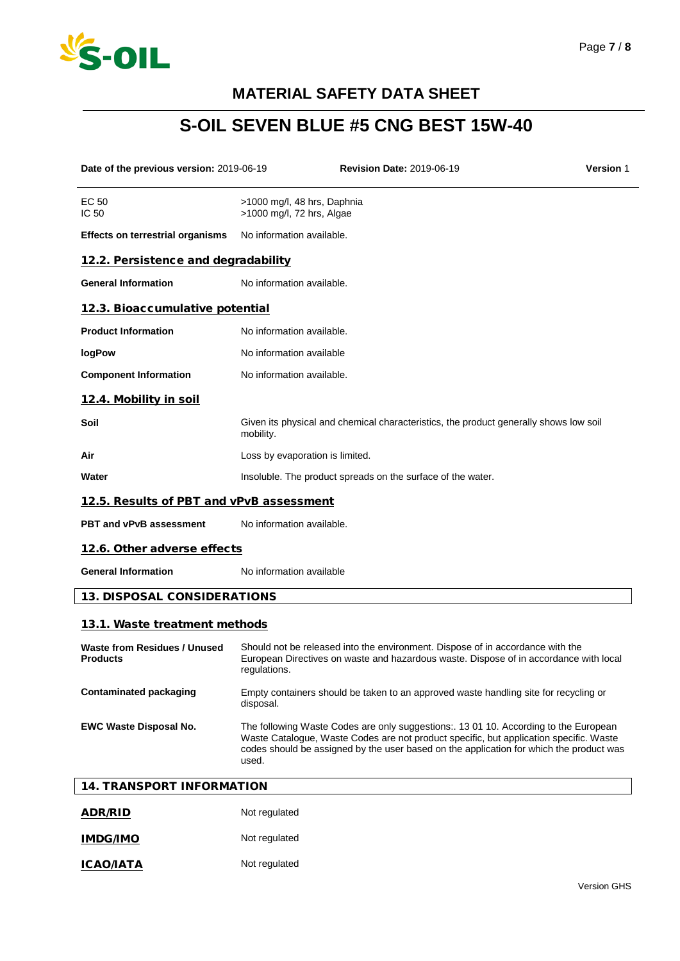

# **S-OIL SEVEN BLUE #5 CNG BEST 15W-40**

| Date of the previous version: 2019-06-19               |                                                             | <b>Revision Date: 2019-06-19</b>                                                                                                                                                                                                                                          | <b>Version 1</b> |
|--------------------------------------------------------|-------------------------------------------------------------|---------------------------------------------------------------------------------------------------------------------------------------------------------------------------------------------------------------------------------------------------------------------------|------------------|
| EC 50<br>IC 50                                         | >1000 mg/l, 48 hrs, Daphnia<br>>1000 mg/l, 72 hrs, Algae    |                                                                                                                                                                                                                                                                           |                  |
| <b>Effects on terrestrial organisms</b>                | No information available.                                   |                                                                                                                                                                                                                                                                           |                  |
| 12.2. Persistence and degradability                    |                                                             |                                                                                                                                                                                                                                                                           |                  |
| <b>General Information</b>                             | No information available.                                   |                                                                                                                                                                                                                                                                           |                  |
| 12.3. Bioaccumulative potential                        |                                                             |                                                                                                                                                                                                                                                                           |                  |
| <b>Product Information</b>                             | No information available.                                   |                                                                                                                                                                                                                                                                           |                  |
| logPow                                                 | No information available                                    |                                                                                                                                                                                                                                                                           |                  |
| <b>Component Information</b>                           | No information available.                                   |                                                                                                                                                                                                                                                                           |                  |
| 12.4. Mobility in soil                                 |                                                             |                                                                                                                                                                                                                                                                           |                  |
| Soil                                                   | mobility.                                                   | Given its physical and chemical characteristics, the product generally shows low soil                                                                                                                                                                                     |                  |
| Air                                                    | Loss by evaporation is limited.                             |                                                                                                                                                                                                                                                                           |                  |
| Water                                                  | Insoluble. The product spreads on the surface of the water. |                                                                                                                                                                                                                                                                           |                  |
| 12.5. Results of PBT and vPvB assessment               |                                                             |                                                                                                                                                                                                                                                                           |                  |
| <b>PBT and vPvB assessment</b>                         | No information available.                                   |                                                                                                                                                                                                                                                                           |                  |
| 12.6. Other adverse effects                            |                                                             |                                                                                                                                                                                                                                                                           |                  |
| <b>General Information</b>                             | No information available                                    |                                                                                                                                                                                                                                                                           |                  |
| <b>13. DISPOSAL CONSIDERATIONS</b>                     |                                                             |                                                                                                                                                                                                                                                                           |                  |
| 13.1. Waste treatment methods                          |                                                             |                                                                                                                                                                                                                                                                           |                  |
| <b>Waste from Residues / Unused</b><br><b>Products</b> | regulations.                                                | Should not be released into the environment. Dispose of in accordance with the<br>European Directives on waste and hazardous waste. Dispose of in accordance with local                                                                                                   |                  |
| <b>Contaminated packaging</b>                          | disposal.                                                   | Empty containers should be taken to an approved waste handling site for recycling or                                                                                                                                                                                      |                  |
| <b>EWC Waste Disposal No.</b>                          | used.                                                       | The following Waste Codes are only suggestions:. 13 01 10. According to the European<br>Waste Catalogue, Waste Codes are not product specific, but application specific. Waste<br>codes should be assigned by the user based on the application for which the product was |                  |
| <b>14. TRANSPORT INFORMATION</b>                       |                                                             |                                                                                                                                                                                                                                                                           |                  |
| <b>ADR/RID</b>                                         | Not regulated                                               |                                                                                                                                                                                                                                                                           |                  |

| <b>IMDG/IMO</b> | Not regulated |
|-----------------|---------------|
|                 |               |